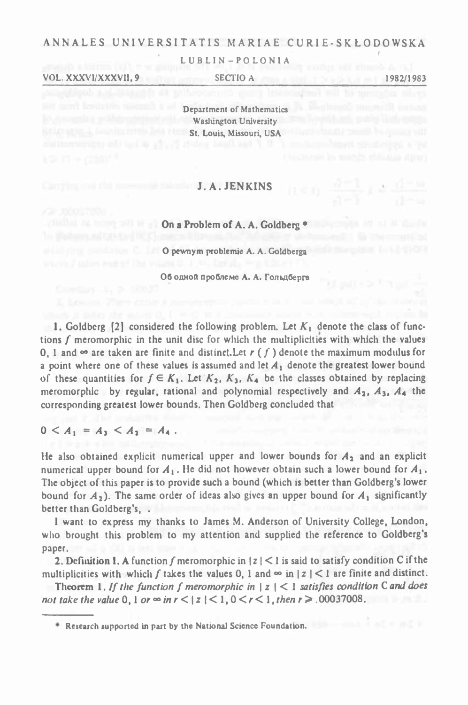# ANNALES UNIVERSITATIS MARIAE CURIE-SKŁODOWSKA

LUBLIN-POLONIA

VOL. XXXVI/XXXVII, 9

SECTIO A

1982/1983

Department of Mathematics Washington University St. Louis, Missouri, USA

## **J.A. JENKINS**

On a Problem of A. A. Goldberg \*

O pewnym problemie A. A. Goldberga

Об одной проблеме А. А. Гольдберга

1. Goldberg [2] considered the following problem. Let  $K_1$  denote the class of functions f meromorphic in the unit disc for which the multiplicities with which the values 0, 1 and  $\infty$  are taken are finite and distinct, Let r (f) denote the maximum modulus for a point where one of these values is assumed and let  $A_1$  denote the greatest lower bound of these quantities for  $f \in K_1$ . Let  $K_2$ ,  $K_3$ ,  $K_4$  be the classes obtained by replacing meromorphic by regular, rational and polynomial respectively and  $A_2$ ,  $A_3$ ,  $A_4$  the corresponding greatest lower bounds. Then Goldberg concluded that

 $0 < A_1 = A_3 < A_2 = A_4$ .

He also obtained explicit numerical upper and lower bounds for  $A_2$  and an explicit numerical upper bound for  $A_1$ . He did not however obtain such a lower bound for  $A_1$ . The object of this paper is to provide such a bound (which is better than Goldberg's lower bound for  $A_2$ ). The same order of ideas also gives an upper bound for  $A_1$  significantly better than Goldberg's, .

I want to express my thanks to James M. Anderson of University College, London, who brought this problem to my attention and supplied the reference to Goldberg's paper.

2. Definition 1. A function f meromorphic in  $|z| < 1$  is said to satisfy condition C if the multiplicities with which f takes the values 0, 1 and  $\infty$  in  $|z| < 1$  are finite and distinct.

Theorem 1. If the function f meromorphic in  $|z| < 1$  satisfies condition C and does not take the value 0, 1 or  $\infty$  in  $r < |z| < 1$ ,  $0 < r < 1$ , then  $r > .00037008$ .

<sup>\*</sup> Research supported in part by the National Science Foundation.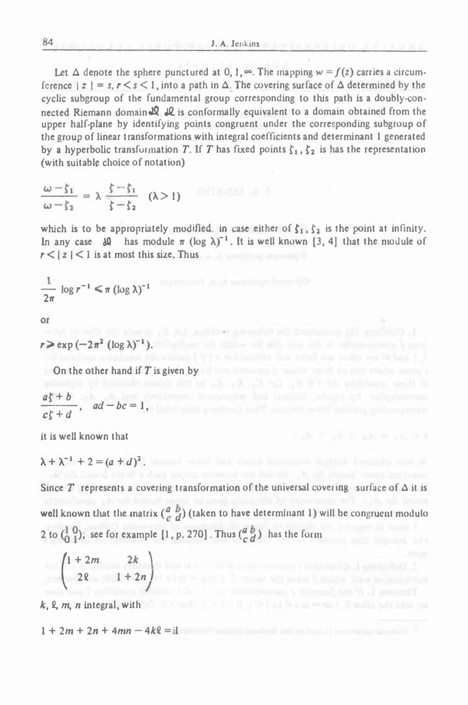Let  $\Delta$  denote the sphere punctured at 0, 1,  $\infty$ . The mapping  $w = f(z)$  carries a circumference  $|z| = s$ ,  $r < s < 1$ , into a path in  $\Delta$ . The covering surface of  $\Delta$  determined by the cyclic subgroup of the fundamental group corresponding to this path is a doubly-connected Riemann domain **J2. 42.** is conformally equivalent to <sup>a</sup> domain obtained from the upper half-plane by identifying points congruent under the corresponding subgroup of the group of linear transformations with integral coefficients and determinant <sup>1</sup> generated by a hyperbolic transformation *T*. If *T* has fixed points  $\zeta_1, \zeta_2$  is has the representation (with suitable choice of notation)

$$
\frac{\omega - \zeta_1}{\omega - \zeta_2} = \lambda \frac{\zeta - \zeta_1}{\zeta - \zeta_2} \quad (\lambda > 1)
$$

which is to be appropriately modified in case either of  $\zeta_1, \zeta_2$  is the point at infinity. In any case  $\Delta\Omega$  has module  $\pi$  (log  $\lambda$ )<sup>-1</sup>. It is well known [3, 4] that the module of  $r < |z| < 1$  is at most this size. Thus

$$
\frac{1}{2\pi}\log r^{-1} \leq \pi \left(\log \lambda\right)^{-1}
$$

or

 $r > \exp(-2\pi^2 (\log \lambda)^{-1})$ .

**On the other hand if** *T* **is given by**

$$
\frac{a\xi+b}{c\xi+d}, \quad ad-bc=1,
$$

**it is well known that**

 $\lambda + \lambda^{-1} + 2 = (a+d)^2$ .

Since  $T$  represents a covering transformation of the universal covering surface of  $\Delta$  it is well known that the matrix  $\begin{pmatrix} a & b \\ c & d \end{pmatrix}$  (taken to have determinant 1) will be congruent modulo 2 to  $\begin{pmatrix} 1 & 0 \\ 0 & 1 \end{pmatrix}$ ; see for example [1, p. 270]. Thus  $\begin{pmatrix} a & b \\ c & d \end{pmatrix}$  has the form T represents a cove<br>
mown that the matri<br>  $\begin{bmatrix} 0 \\ 1 \end{bmatrix}$ ; see for exampl<br>  $\begin{bmatrix} 1 + 2m & 2k \\ 2k & 1 + 2n \end{bmatrix}$ 

$$
\begin{pmatrix} 1+2m & 2k \\ 2k & 1+2n \end{pmatrix}
$$

 $k$ ,  $\ell$ ,  $m$ ,  $n$  integral, with  $\lceil n \rceil$ ,  $\lceil n \rceil$ ,  $\lceil n \rceil$ ,  $\lceil n \rceil$ ,  $\lceil n \rceil$ ,  $\lceil n \rceil$ ,  $\lceil n \rceil$ ,  $\lceil n \rceil$ ,  $\lceil n \rceil$ ,  $\lceil n \rceil$ ,  $\lceil n \rceil$ ,  $\lceil n \rceil$ ,  $\lceil n \rceil$ ,  $\lceil n \rceil$ ,  $\lceil n \rceil$ ,  $\lceil n \rceil$ ,  $\lceil n \rceil$ ,

$$
1+2m+2n+4mn-4k\ell=il
$$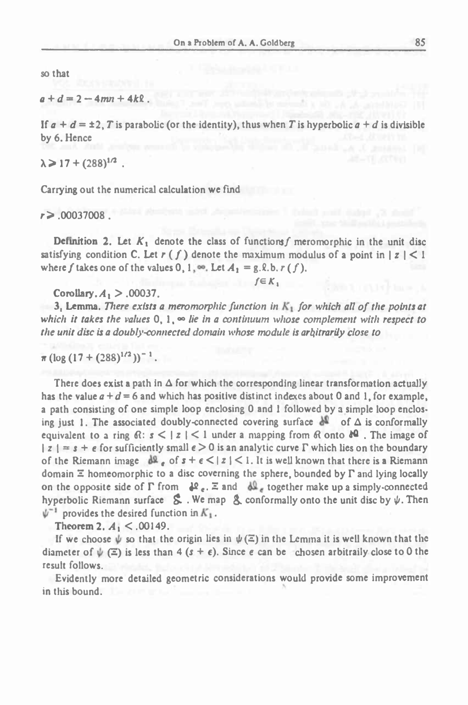so that

 $a + d = 2 - 4mn + 4k$ 

If  $a + d = \pm 2$ , T is parabolic (or the identity), thus when T is hyperbolic  $a + d$  is divisible by 6. Hence

 $\lambda > 17 + (288)^{1/2}$ .

Carrying out the numerical calculation we find

*r>* .00037008 .

Definition 2. Let  $K_1$  denote the class of functions f meromorphic in the unit disc satisfying condition C. Let  $r(f)$  denote the maximum modulus of a point in  $|z| < 1$  where  $f$  takes one of the values 0, 1,  $\infty$ . Let  $A_1 = g.8.$  b.  $r(f)$ . where f takes one of the values 0, 1,  $\infty$ . Let  $A_1 = g$ . 0.  $r(f)$ .<br>  $f \in K_1$ <br>
Corollary.  $A_1 > .00037$ .<br>
3, Lemma. There exists a meromorphic function in  $K_1$  for which all of the points at

 $f \in K$ ,

Corollary.  $A_1 > .00037$ .

which it takes the values  $0, 1, \infty$  lie in a continuum whose complement with respect to the unit disc is a doubly-connected domain whose module is arbitrarily close to

 $\pi (\log (17 + (288)^{1/2}))^{-1}$ .

There does exist a path in  $\Delta$  for which the corresponding linear transformation actually has the value  $a + d = 6$  and which has positive distinct indexes about 0 and 1, for example, <sup>a</sup> path consisting of one simple loop enclosing <sup>0</sup> and 1 followed by <sup>a</sup> simple loop enclos- $\pi (\log (17 + (288)^{1/2}))^{-1}$ .<br>
There does exist a path in  $\Delta$  for which the corresponding linear transformation actually<br>
has the value  $a + d = 6$  and which has positive distinct indexes about 0 and 1, for example,<br>
a path cons equivalent to a ring  $\mathbb{R}: s < |z| < 1$  under a mapping from  $\mathbb{R}$  onto  $\mathbb{R}^2$ . The image of  $|z| = s + \epsilon$  for sufficiently small  $\epsilon > 0$  is an analytic curve  $\Gamma$  which lies on the boundary of the Riemann image  $d\Omega$ , of  $s + \epsilon < |z| < 1$ . It is well known that there is a Riemann ing just 1. The associated doubly-connected covering surface  $\Lambda^2$  of  $\Delta$  is conformally domain  $\Xi$  homeomorphic to a disc coverning the sphere, bounded by  $\Gamma$  and lying locally on the opposite side of  $\Gamma$  from  $\psi$ <sup>2</sup>  $\epsilon$ .  $\Xi$  and  $\psi$ <sup>1</sup> together make up a simply-connected hyperbolic Riemann surface  $\$ a path consisting of one simple loop enclosing 0 and 1 followed by a simple loop enclosing just 1. The associated doubly-connected covering surface  $A^2$  of  $\Delta$  is conformally equivalent to a ring  $\Re: s \le |z| \le 1$  under a on the opposite side of  $\Gamma$  from  $\mathcal{P}_e$ .  $\Xi$  and  $\mathcal{P}_e$  together make up a simply-connected hyperbolic Riemann surface  $\mathcal{P}_e$ . We map  $\mathcal{P}_e$  conformally onto the unit disc by  $\psi$ . Then  $\psi^{-1}$  provides the

Theorem 2.  $A_1 < .00149$ .

If we choose  $\psi$  so that the origin lies in  $\psi(\Xi)$  in the Lemma it is well known that the diameter of  $\psi(\Xi)$  is less than 4  $(s + \epsilon)$ . Since e can be chosen arbitraily close to 0 the result follows.

Evidently more detailed geometric considerations would provide some improvement in this bound.